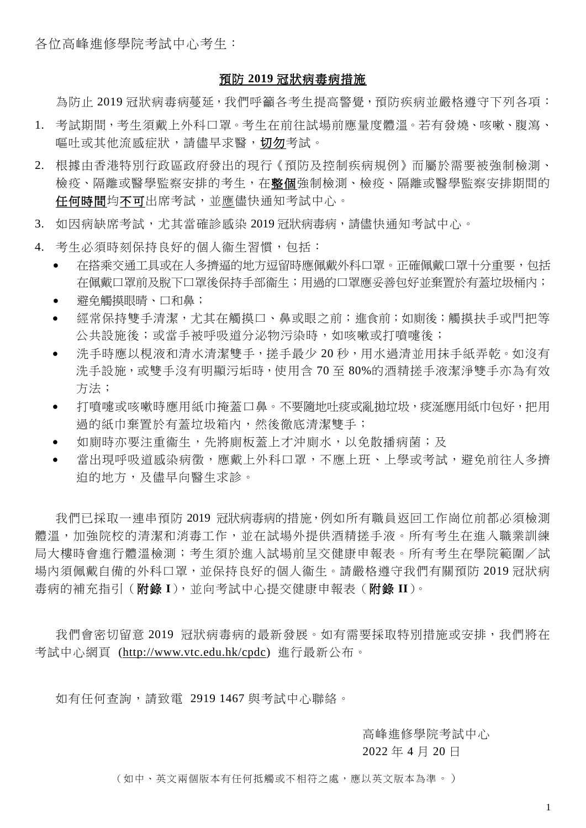各位高峰進修學院考試中心考生:

#### 預防 **2019** 冠狀病毒病措施

為防止 2019 冠狀病毒病蔓延,我們呼籲各考生提高警覺,預防疾病並嚴格遵守下列各項:

- 1. 考試期間,考生須戴上外科口罩。考生在前往試場前應量度體溫。若有發燒、咳嗽、腹瀉、 **嘔吐或其他流感症狀,請儘早求醫,切勿考試。**
- 2. 根據由香港特別行政區政府發出的現行《預防及控制疾病規例》而屬於需要被強制檢測、 檢疫、隔離或醫學監察安排的考生,在整個強制檢測、檢疫、隔離或醫學監察安排期間的 任何時間均不可出席考試,並應儘快通知考試中心。
- 3. 如因病缺席考試,尤其當確診感染 2019 冠狀病毒病,請儘快通知考試中心。
- 4. 考生必須時刻保持良好的個人衞生習慣,包括:
	- 在搭乘交通工具或在人多擠逼的地方逗留時應佩戴外科口罩。正確佩戴口罩十分重要,包括 在佩戴口罩前及脫下口罩後保持手部衞生;用過的口罩應妥善包好並棄置於有蓋垃圾桶內;
	- 避免觸摸眼晴、口和鼻;
	- 經常保持雙手清潔,尤其在觸摸口、鼻或眼之前;進食前;如廁後;觸摸扶手或門把等 公共設施後;或當手被呼吸道分泌物污染時,如咳嗽或打噴嚏後;
	- 洗手時應以梘液和清水清潔雙手,搓手最少 20 秒,用水過清並用抹手紙弄乾。如沒有 洗手設施,或雙手沒有明顯污垢時,使用含 70 至 80%的酒精搓手液潔淨雙手亦為有效 方法;
	- 打噴嚏或咳嗽時應用紙巾掩蓋口鼻。不要隨地吐痰或亂拋垃圾,痰涎應用紙巾包好,把用 過的紙巾棄置於有蓋垃圾箱內,然後徹底清潔雙手;
	- 如廁時亦要注重衞生,先將廁板蓋上才沖廁水,以免散播病菌;及
	- 當出現呼吸道感染病徵,應載上外科口罩,不應上班、上學或考試,避免前往人多擠 迫的地方,及儘早向醫生求診。

我們已採取一連串預防 2019 冠狀病毒病的措施,例如所有職員返回工作崗位前都必須檢測 體溫,加強院校的清潔和消毒工作,並在試場外提供酒精搓手液。所有考生在進入職業訓練 局大樓時會進行體溫檢測;考生須於進入試場前呈交健康申報表。所有考生在學院範圍/試 場內須佩戴自備的外科口罩,並保持良好的個人衞生。請嚴格遵守我們有關預防 2019 冠狀病 毒病的補充指引(附錄 **I**),並向考試中心提交健康申報表(附錄 **II**)。

我們會密切留意 2019 冠狀病毒病的最新發展。如有需要採取特別措施或安排,我們將在 考試中心網頁 [\(http://www.vtc.edu.hk/cpdc\)](http://www.vtc.edu.hk/cpdc) 進行最新公布。

如有任何查詢,請致電 2919 1467 與考試中心聯絡。

高峰進修學院考試中心

2022 年 4 月 20 日

(如中、英文兩個版本有任何抵觸或不相符之處,應以英文版本為準。)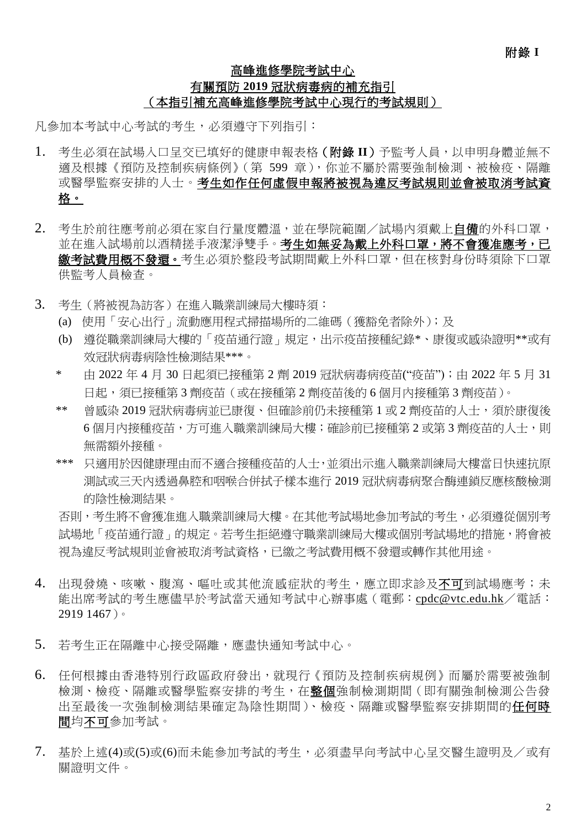## 高峰進修學院考試中心 有關預防 **2019** 冠狀病毒病的補充指引 (本指引補充高峰進修學院考試中心現行的考試規則)

凡參加本考試中心考試的考生,必須遵守下列指引:

- 1. 考生必須在試場入口呈交已填好的健康申報表格(附錄 **II**)予監考人員,以申明身體並無不 適及根據《預防及控制疾病條例》(第 599 章),你並不屬於需要強制檢測、被檢疫、隔離 或醫學監察安排的人士。考生如作任何虛假申報將被視為違反考試規則並會被取消考試資 格。
- 2. 考生於前往應考前必須在家自行量度體溫,並在學院範圍/試場內須戴上自備的外科口罩, 並在進入試場前以酒精搓手液潔淨雙手。考生如無妥為戴上外科口罩,將不會獲准應考,已 鄉考試費用概不發還。考生必須於整段考試期間戴上外科口罩,但在核對身份時須除下口罩 供監考人員檢查。
- 3. 考生(將被視為訪客)在進入職業訓練局大樓時須:
	- (a) 使用「安心出行」流動應用程式掃描場所的二維碼(獲豁免者除外);及
	- (b) 遵從職業訓練局大樓的「疫苗通行證」規定,出示疫苗接種紀錄\*、康復或感染證明\*\*或有 效冠狀病毒病陰性檢測結果\*\*\*。
	- \* 由 2022 年 4 月 30 日起須已接種第 2 劑 2019 冠狀病毒病疫苗("疫苗");由 2022 年 5 月 31 日起,須已接種第 3 劑疫苗(或在接種第 2 劑疫苗後的 6 個月內接種第 3 劑疫苗)。
	- \*\* 曾感染 2019 冠狀病毒病並已康復、但確診前仍未接種第 1 或 2 劑疫苗的人士,須於康復後 6個月內接種疫苗,方可進入職業訓練局大樓;確診前已接種第 2 或第 3 劑疫苗的人士,則 無需額外接種。
	- \*\*\* 只適用於因健康理由而不適合接種疫苗的人士,並須出示進入職業訓練局大樓當日快速抗原 測試或三天內透過鼻腔和咽喉合併拭子樣本進行 2019 冠狀病毒病聚合酶連鎖反應核酸檢測 的陰性檢測結果。

否則,考生將不會獲准進入職業訓練局大樓。在其他考試場地參加考試的考生,必須遵從個別考 試場地「疫苗通行證」的規定。若考生拒絕遵守職業訓練局大樓或個別考試場地的措施,將會被 視為違反考試規則並會被取消考試資格,已繳之考試費用概不發還或轉作其他用途。

- 4. 出現發燒、咳嗽、腹瀉、嘔吐或其他流感症狀的考生,應立即求診及不可到試場應考;未 能出席考試的考生應儘早於考試當天通知考試中心辦事處(電郵:[cpdc@vtc.edu.hk](mailto:cpdc@vtc.edu.hk)/電話: 2919 1467)。
- 5. 若考生正在隔離中心接受隔離,應盡快通知考試中心。
- 6. 任何根據由香港特別行政區政府發出,就現行《預防及控制疾病規例》而屬於需要被強制 檢測、檢疫、隔離或醫學監察安排的考生,在**整個**強制檢測期間(即有關強制檢測公告發 出至最後一次強制檢測結果確定為陰性期間)、檢疫、隔離或醫學監察安排期間的任何時 間均不可參加考試。
- 7. 基於上述(4)或(5)或(6)而未能參加考試的考生,必須盡早向考試中心呈交醫生證明及/或有 關證明文件。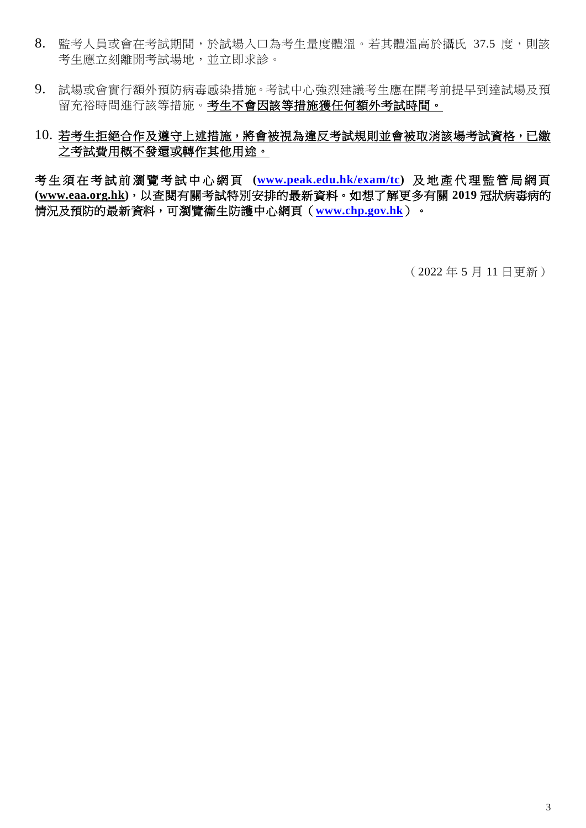- 8. 監考人員或會在考試期間,於試場入口為考生量度體溫。若其體溫高於攝氏 37.5 度,則該 考生應立刻離開考試場地,並立即求診。
- 9. 試場或會實行額外預防病毒感染措施。考試中心強烈建議考生應在開考前提早到達試場及預 留充裕時間進行該等措施。考生不會因該等措施獲任何額外考試時間。

## 10. 若考生拒絕合作及遵守上述措施,將會被視為違反考試規則並會被取消該場考試資格,已繳 之考試費用概不發還或轉作其他用途。

考 生 須 在 考 試 前 瀏 覽 考 試 中 心 網 頁 **[\(www.peak.edu.hk/exam/tc\)](http://www.peak.edu.hk/exam/tc)** 及 地 產 代 理 監 管 局 網 頁 **[\(www.eaa.org.hk\)](http://www.eaa.org.hk/)**,以查閱有關考試特別安排的最新資料。如想了解更多有關 **2019** 冠狀病毒病的 情況及預防的最新資料,可瀏覽衞生防護中心網頁(**[www.chp.gov.hk](http://www.chp.gov.hk/)**)。

(2022 年 5 月 11 日更新)